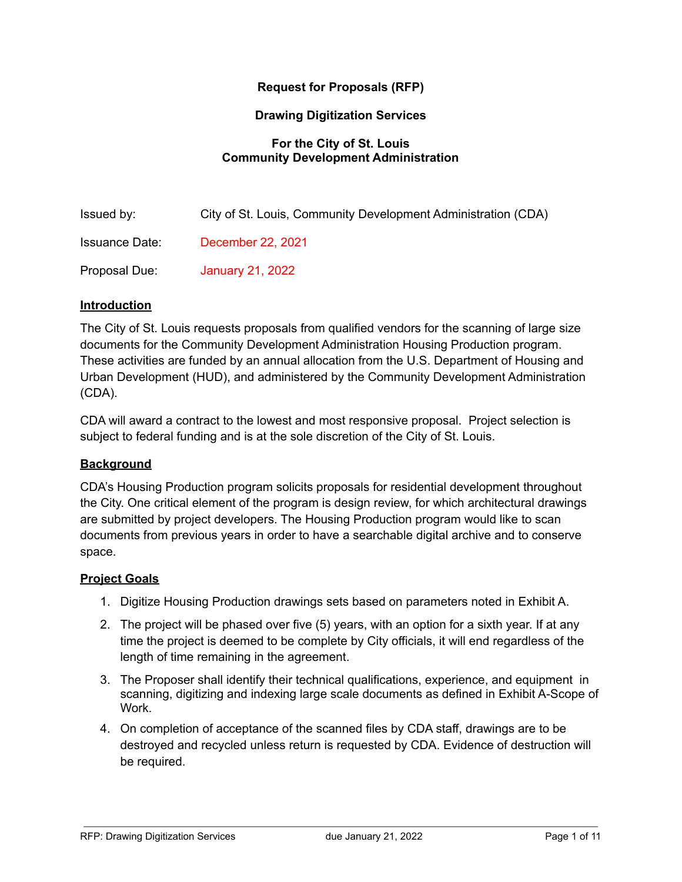# **Request for Proposals (RFP)**

### **Drawing Digitization Services**

## **For the City of St. Louis Community Development Administration**

| Issued by:            | City of St. Louis, Community Development Administration (CDA) |
|-----------------------|---------------------------------------------------------------|
| <b>Issuance Date:</b> | December 22, 2021                                             |
| Proposal Due:         | January 21, 2022                                              |

## **Introduction**

The City of St. Louis requests proposals from qualified vendors for the scanning of large size documents for the Community Development Administration Housing Production program. These activities are funded by an annual allocation from the U.S. Department of Housing and Urban Development (HUD), and administered by the Community Development Administration (CDA).

CDA will award a contract to the lowest and most responsive proposal. Project selection is subject to federal funding and is at the sole discretion of the City of St. Louis.

## **Background**

CDA's Housing Production program solicits proposals for residential development throughout the City. One critical element of the program is design review, for which architectural drawings are submitted by project developers. The Housing Production program would like to scan documents from previous years in order to have a searchable digital archive and to conserve space.

## **Project Goals**

- 1. Digitize Housing Production drawings sets based on parameters noted in Exhibit A.
- 2. The project will be phased over five (5) years, with an option for a sixth year. If at any time the project is deemed to be complete by City officials, it will end regardless of the length of time remaining in the agreement.
- 3. The Proposer shall identify their technical qualifications, experience, and equipment in scanning, digitizing and indexing large scale documents as defined in Exhibit A-Scope of Work.
- 4. On completion of acceptance of the scanned files by CDA staff, drawings are to be destroyed and recycled unless return is requested by CDA. Evidence of destruction will be required.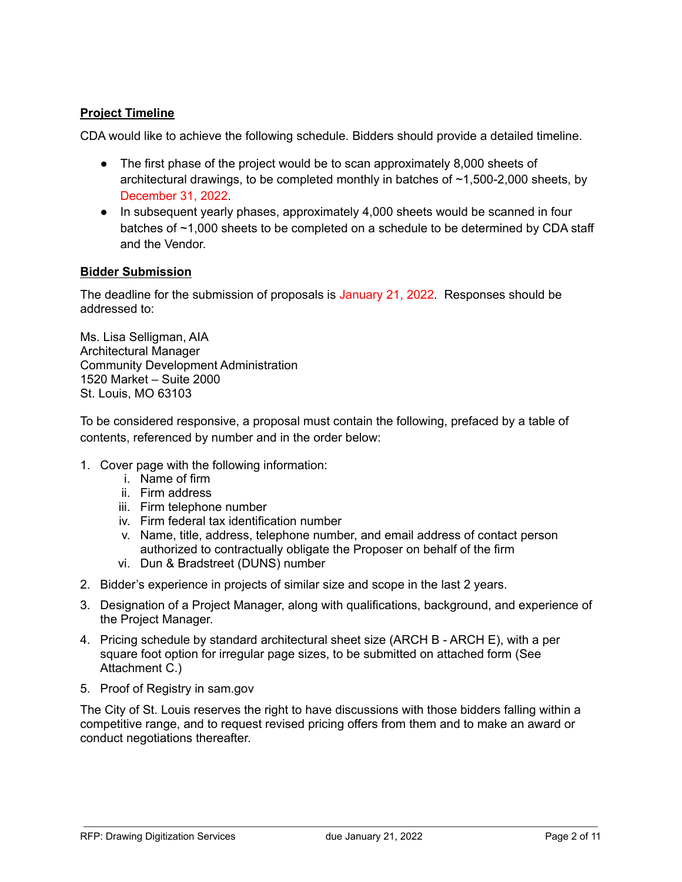# **Project Timeline**

CDA would like to achieve the following schedule. Bidders should provide a detailed timeline.

- The first phase of the project would be to scan approximately 8,000 sheets of architectural drawings, to be completed monthly in batches of ~1,500-2,000 sheets, by December 31, 2022.
- In subsequent yearly phases, approximately 4,000 sheets would be scanned in four batches of ~1,000 sheets to be completed on a schedule to be determined by CDA staff and the Vendor.

# **Bidder Submission**

The deadline for the submission of proposals is January 21, 2022. Responses should be addressed to:

Ms. Lisa Selligman, AIA Architectural Manager Community Development Administration 1520 Market – Suite 2000 St. Louis, MO 63103

To be considered responsive, a proposal must contain the following, prefaced by a table of contents, referenced by number and in the order below:

- 1. Cover page with the following information:
	- i. Name of firm
	- ii. Firm address
	- iii. Firm telephone number
	- iv. Firm federal tax identification number
	- v. Name, title, address, telephone number, and email address of contact person authorized to contractually obligate the Proposer on behalf of the firm
	- vi. Dun & Bradstreet (DUNS) number
- 2. Bidder's experience in projects of similar size and scope in the last 2 years.
- 3. Designation of a Project Manager, along with qualifications, background, and experience of the Project Manager.
- 4. Pricing schedule by standard architectural sheet size (ARCH B ARCH E), with a per square foot option for irregular page sizes, to be submitted on attached form (See Attachment C.)
- 5. Proof of Registry in sam.gov

The City of St. Louis reserves the right to have discussions with those bidders falling within a competitive range, and to request revised pricing offers from them and to make an award or conduct negotiations thereafter.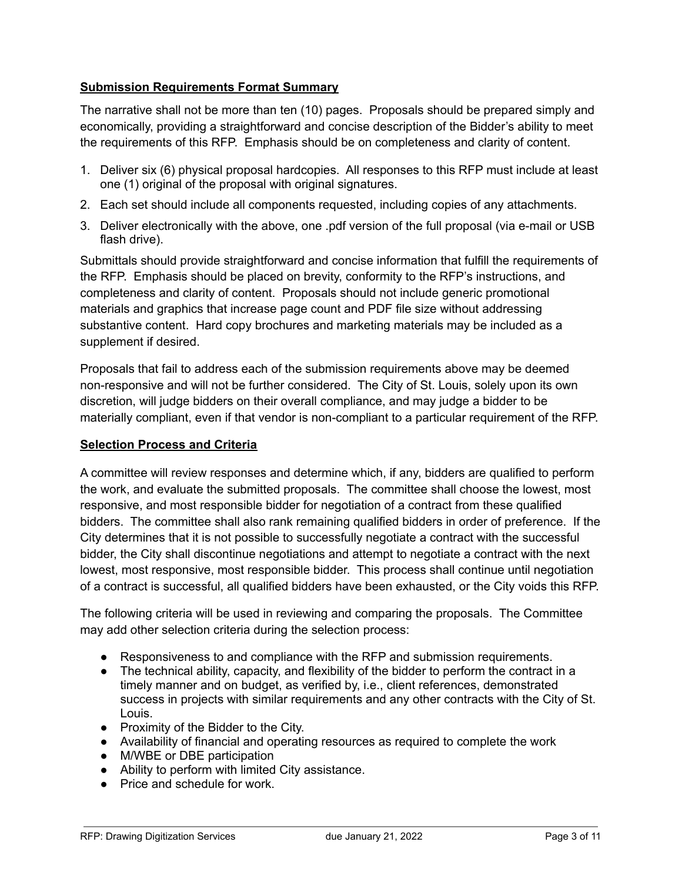# **Submission Requirements Format Summary**

The narrative shall not be more than ten (10) pages. Proposals should be prepared simply and economically, providing a straightforward and concise description of the Bidder's ability to meet the requirements of this RFP. Emphasis should be on completeness and clarity of content.

- 1. Deliver six (6) physical proposal hardcopies. All responses to this RFP must include at least one (1) original of the proposal with original signatures.
- 2. Each set should include all components requested, including copies of any attachments.
- 3. Deliver electronically with the above, one .pdf version of the full proposal (via e-mail or USB flash drive).

Submittals should provide straightforward and concise information that fulfill the requirements of the RFP. Emphasis should be placed on brevity, conformity to the RFP's instructions, and completeness and clarity of content. Proposals should not include generic promotional materials and graphics that increase page count and PDF file size without addressing substantive content. Hard copy brochures and marketing materials may be included as a supplement if desired.

Proposals that fail to address each of the submission requirements above may be deemed non-responsive and will not be further considered. The City of St. Louis, solely upon its own discretion, will judge bidders on their overall compliance, and may judge a bidder to be materially compliant, even if that vendor is non-compliant to a particular requirement of the RFP.

## **Selection Process and Criteria**

A committee will review responses and determine which, if any, bidders are qualified to perform the work, and evaluate the submitted proposals. The committee shall choose the lowest, most responsive, and most responsible bidder for negotiation of a contract from these qualified bidders. The committee shall also rank remaining qualified bidders in order of preference. If the City determines that it is not possible to successfully negotiate a contract with the successful bidder, the City shall discontinue negotiations and attempt to negotiate a contract with the next lowest, most responsive, most responsible bidder. This process shall continue until negotiation of a contract is successful, all qualified bidders have been exhausted, or the City voids this RFP.

The following criteria will be used in reviewing and comparing the proposals. The Committee may add other selection criteria during the selection process:

- Responsiveness to and compliance with the RFP and submission requirements.
- The technical ability, capacity, and flexibility of the bidder to perform the contract in a timely manner and on budget, as verified by, i.e., client references, demonstrated success in projects with similar requirements and any other contracts with the City of St. Louis.
- Proximity of the Bidder to the City.
- Availability of financial and operating resources as required to complete the work
- M/WBE or DBE participation
- Ability to perform with limited City assistance.
- Price and schedule for work.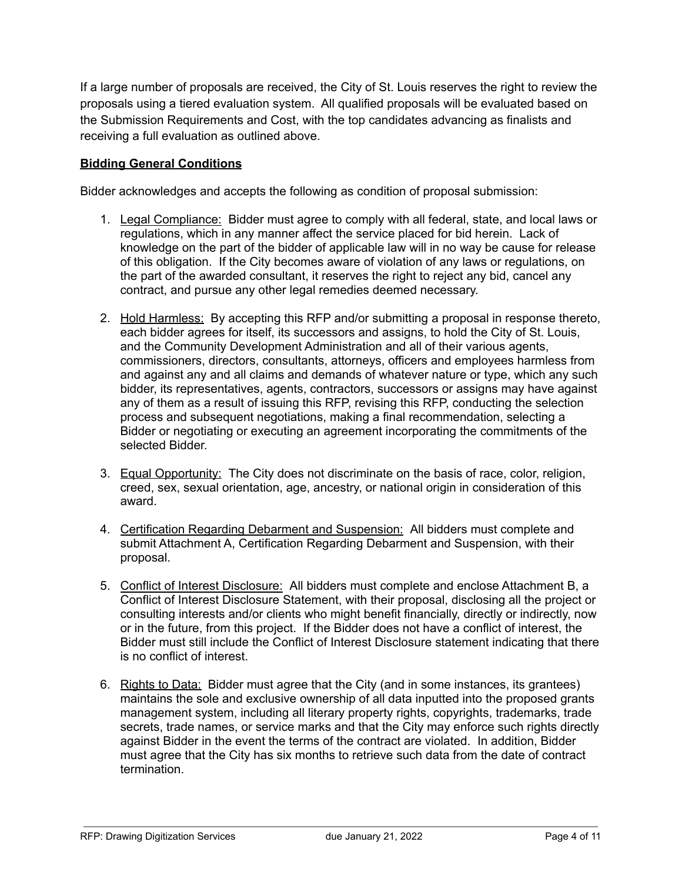If a large number of proposals are received, the City of St. Louis reserves the right to review the proposals using a tiered evaluation system. All qualified proposals will be evaluated based on the Submission Requirements and Cost, with the top candidates advancing as finalists and receiving a full evaluation as outlined above.

# **Bidding General Conditions**

Bidder acknowledges and accepts the following as condition of proposal submission:

- 1. Legal Compliance: Bidder must agree to comply with all federal, state, and local laws or regulations, which in any manner affect the service placed for bid herein. Lack of knowledge on the part of the bidder of applicable law will in no way be cause for release of this obligation. If the City becomes aware of violation of any laws or regulations, on the part of the awarded consultant, it reserves the right to reject any bid, cancel any contract, and pursue any other legal remedies deemed necessary.
- 2. Hold Harmless: By accepting this RFP and/or submitting a proposal in response thereto, each bidder agrees for itself, its successors and assigns, to hold the City of St. Louis, and the Community Development Administration and all of their various agents, commissioners, directors, consultants, attorneys, officers and employees harmless from and against any and all claims and demands of whatever nature or type, which any such bidder, its representatives, agents, contractors, successors or assigns may have against any of them as a result of issuing this RFP, revising this RFP, conducting the selection process and subsequent negotiations, making a final recommendation, selecting a Bidder or negotiating or executing an agreement incorporating the commitments of the selected Bidder.
- 3. Equal Opportunity: The City does not discriminate on the basis of race, color, religion, creed, sex, sexual orientation, age, ancestry, or national origin in consideration of this award.
- 4. Certification Regarding Debarment and Suspension: All bidders must complete and submit Attachment A, Certification Regarding Debarment and Suspension, with their proposal.
- 5. Conflict of Interest Disclosure: All bidders must complete and enclose Attachment B, a Conflict of Interest Disclosure Statement, with their proposal, disclosing all the project or consulting interests and/or clients who might benefit financially, directly or indirectly, now or in the future, from this project. If the Bidder does not have a conflict of interest, the Bidder must still include the Conflict of Interest Disclosure statement indicating that there is no conflict of interest.
- 6. Rights to Data: Bidder must agree that the City (and in some instances, its grantees) maintains the sole and exclusive ownership of all data inputted into the proposed grants management system, including all literary property rights, copyrights, trademarks, trade secrets, trade names, or service marks and that the City may enforce such rights directly against Bidder in the event the terms of the contract are violated. In addition, Bidder must agree that the City has six months to retrieve such data from the date of contract termination.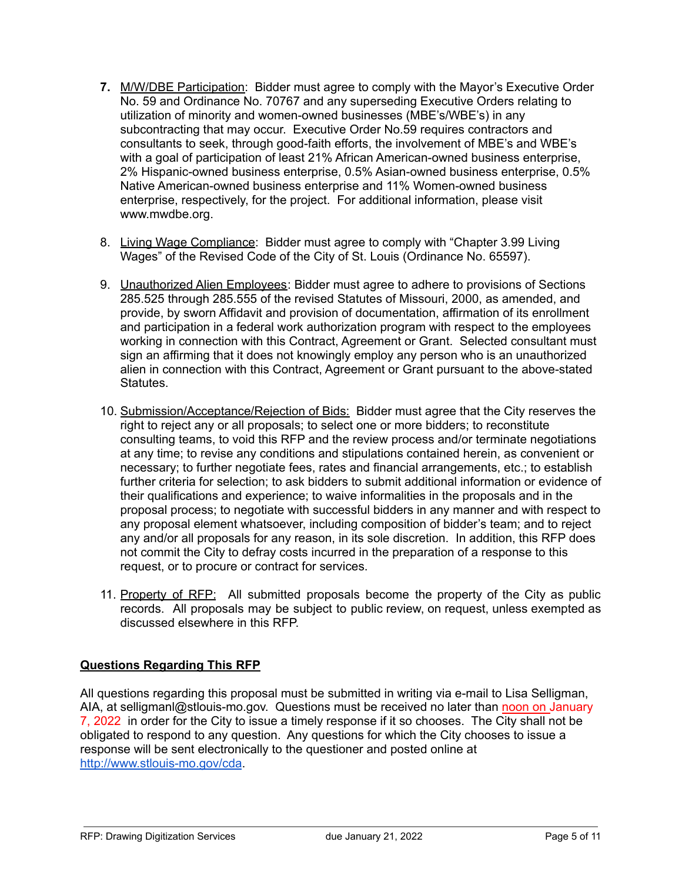- **7.** M/W/DBE Participation: Bidder must agree to comply with the Mayor's Executive Order No. 59 and Ordinance No. 70767 and any superseding Executive Orders relating to utilization of minority and women-owned businesses (MBE's/WBE's) in any subcontracting that may occur. Executive Order No.59 requires contractors and consultants to seek, through good-faith efforts, the involvement of MBE's and WBE's with a goal of participation of least 21% African American-owned business enterprise, 2% Hispanic-owned business enterprise, 0.5% Asian-owned business enterprise, 0.5% Native American-owned business enterprise and 11% Women-owned business enterprise, respectively, for the project. For additional information, please visit www.mwdbe.org.
- 8. Living Wage Compliance: Bidder must agree to comply with "Chapter 3.99 Living Wages" of the Revised Code of the City of St. Louis (Ordinance No. 65597).
- 9. Unauthorized Alien Employees: Bidder must agree to adhere to provisions of Sections 285.525 through 285.555 of the revised Statutes of Missouri, 2000, as amended, and provide, by sworn Affidavit and provision of documentation, affirmation of its enrollment and participation in a federal work authorization program with respect to the employees working in connection with this Contract, Agreement or Grant. Selected consultant must sign an affirming that it does not knowingly employ any person who is an unauthorized alien in connection with this Contract, Agreement or Grant pursuant to the above-stated Statutes.
- 10. Submission/Acceptance/Rejection of Bids: Bidder must agree that the City reserves the right to reject any or all proposals; to select one or more bidders; to reconstitute consulting teams, to void this RFP and the review process and/or terminate negotiations at any time; to revise any conditions and stipulations contained herein, as convenient or necessary; to further negotiate fees, rates and financial arrangements, etc.; to establish further criteria for selection; to ask bidders to submit additional information or evidence of their qualifications and experience; to waive informalities in the proposals and in the proposal process; to negotiate with successful bidders in any manner and with respect to any proposal element whatsoever, including composition of bidder's team; and to reject any and/or all proposals for any reason, in its sole discretion. In addition, this RFP does not commit the City to defray costs incurred in the preparation of a response to this request, or to procure or contract for services.
- 11. Property of RFP: All submitted proposals become the property of the City as public records. All proposals may be subject to public review, on request, unless exempted as discussed elsewhere in this RFP.

# **Questions Regarding This RFP**

All questions regarding this proposal must be submitted in writing via e-mail to Lisa Selligman, AIA, at selligmanl@stlouis-mo.gov. Questions must be received no later than noon on January 7, 2022 in order for the City to issue a timely response if it so chooses. The City shall not be obligated to respond to any question. Any questions for which the City chooses to issue a response will be sent electronically to the questioner and posted online at <http://www.stlouis-mo.gov/cda>.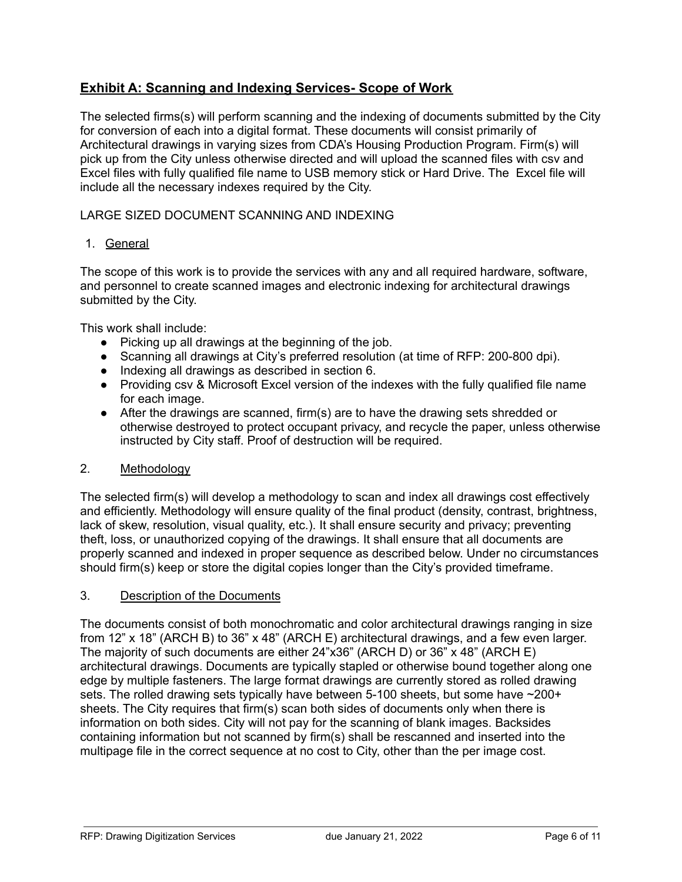# **Exhibit A: Scanning and Indexing Services- Scope of Work**

The selected firms(s) will perform scanning and the indexing of documents submitted by the City for conversion of each into a digital format. These documents will consist primarily of Architectural drawings in varying sizes from CDA's Housing Production Program. Firm(s) will pick up from the City unless otherwise directed and will upload the scanned files with csv and Excel files with fully qualified file name to USB memory stick or Hard Drive. The Excel file will include all the necessary indexes required by the City.

### LARGE SIZED DOCUMENT SCANNING AND INDEXING

### 1. General

The scope of this work is to provide the services with any and all required hardware, software, and personnel to create scanned images and electronic indexing for architectural drawings submitted by the City.

This work shall include:

- Picking up all drawings at the beginning of the job.
- Scanning all drawings at City's preferred resolution (at time of RFP: 200-800 dpi).
- Indexing all drawings as described in section 6.
- Providing csv & Microsoft Excel version of the indexes with the fully qualified file name for each image.
- After the drawings are scanned, firm(s) are to have the drawing sets shredded or otherwise destroyed to protect occupant privacy, and recycle the paper, unless otherwise instructed by City staff. Proof of destruction will be required.

#### 2. Methodology

The selected firm(s) will develop a methodology to scan and index all drawings cost effectively and efficiently. Methodology will ensure quality of the final product (density, contrast, brightness, lack of skew, resolution, visual quality, etc.). It shall ensure security and privacy; preventing theft, loss, or unauthorized copying of the drawings. It shall ensure that all documents are properly scanned and indexed in proper sequence as described below. Under no circumstances should firm(s) keep or store the digital copies longer than the City's provided timeframe.

#### 3. Description of the Documents

The documents consist of both monochromatic and color architectural drawings ranging in size from 12" x 18" (ARCH B) to 36" x 48" (ARCH E) architectural drawings, and a few even larger. The majority of such documents are either 24"x36" (ARCH D) or 36" x 48" (ARCH E) architectural drawings. Documents are typically stapled or otherwise bound together along one edge by multiple fasteners. The large format drawings are currently stored as rolled drawing sets. The rolled drawing sets typically have between 5-100 sheets, but some have ~200+ sheets. The City requires that firm(s) scan both sides of documents only when there is information on both sides. City will not pay for the scanning of blank images. Backsides containing information but not scanned by firm(s) shall be rescanned and inserted into the multipage file in the correct sequence at no cost to City, other than the per image cost.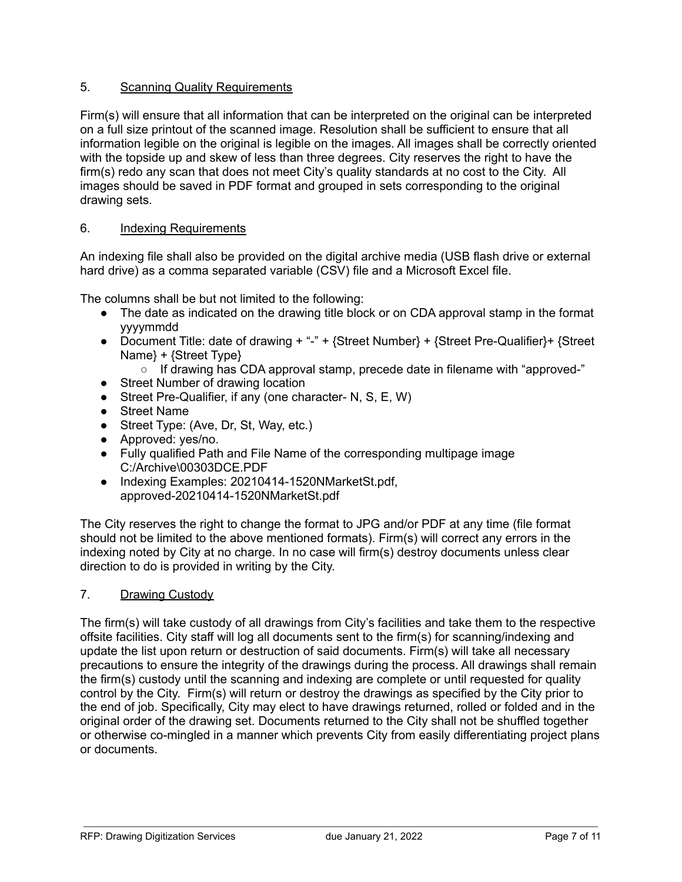# 5. Scanning Quality Requirements

Firm(s) will ensure that all information that can be interpreted on the original can be interpreted on a full size printout of the scanned image. Resolution shall be sufficient to ensure that all information legible on the original is legible on the images. All images shall be correctly oriented with the topside up and skew of less than three degrees. City reserves the right to have the firm(s) redo any scan that does not meet City's quality standards at no cost to the City. All images should be saved in PDF format and grouped in sets corresponding to the original drawing sets.

## 6. Indexing Requirements

An indexing file shall also be provided on the digital archive media (USB flash drive or external hard drive) as a comma separated variable (CSV) file and a Microsoft Excel file.

The columns shall be but not limited to the following:

- The date as indicated on the drawing title block or on CDA approval stamp in the format yyyymmdd
- Document Title: date of drawing  $+ - +$  {Street Number} + {Street Pre-Qualifier} + {Street Name} + {Street Type}
	- $\circ$  If drawing has CDA approval stamp, precede date in filename with "approved-"
- Street Number of drawing location
- Street Pre-Qualifier, if any (one character- N, S, E, W)
- Street Name
- Street Type: (Ave, Dr, St, Way, etc.)
- Approved: yes/no.
- Fully qualified Path and File Name of the corresponding multipage image C:/Archive\00303DCE.PDF
- Indexing Examples: 20210414-1520NMarketSt.pdf, approved-20210414-1520NMarketSt.pdf

The City reserves the right to change the format to JPG and/or PDF at any time (file format should not be limited to the above mentioned formats). Firm(s) will correct any errors in the indexing noted by City at no charge. In no case will firm(s) destroy documents unless clear direction to do is provided in writing by the City.

7. Drawing Custody

The firm(s) will take custody of all drawings from City's facilities and take them to the respective offsite facilities. City staff will log all documents sent to the firm(s) for scanning/indexing and update the list upon return or destruction of said documents. Firm(s) will take all necessary precautions to ensure the integrity of the drawings during the process. All drawings shall remain the firm(s) custody until the scanning and indexing are complete or until requested for quality control by the City. Firm(s) will return or destroy the drawings as specified by the City prior to the end of job. Specifically, City may elect to have drawings returned, rolled or folded and in the original order of the drawing set. Documents returned to the City shall not be shuffled together or otherwise co-mingled in a manner which prevents City from easily differentiating project plans or documents.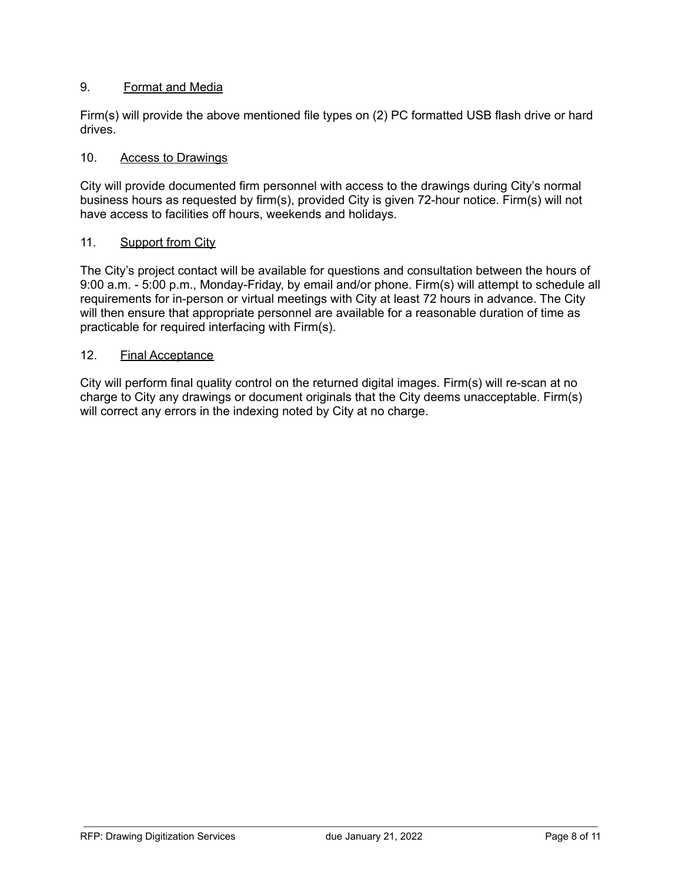## 9. Format and Media

Firm(s) will provide the above mentioned file types on (2) PC formatted USB flash drive or hard drives.

### 10. Access to Drawings

City will provide documented firm personnel with access to the drawings during City's normal business hours as requested by firm(s), provided City is given 72-hour notice. Firm(s) will not have access to facilities off hours, weekends and holidays.

#### 11. Support from City

The City's project contact will be available for questions and consultation between the hours of 9:00 a.m. - 5:00 p.m., Monday-Friday, by email and/or phone. Firm(s) will attempt to schedule all requirements for in-person or virtual meetings with City at least 72 hours in advance. The City will then ensure that appropriate personnel are available for a reasonable duration of time as practicable for required interfacing with Firm(s).

#### 12. Final Acceptance

City will perform final quality control on the returned digital images. Firm(s) will re-scan at no charge to City any drawings or document originals that the City deems unacceptable. Firm(s) will correct any errors in the indexing noted by City at no charge.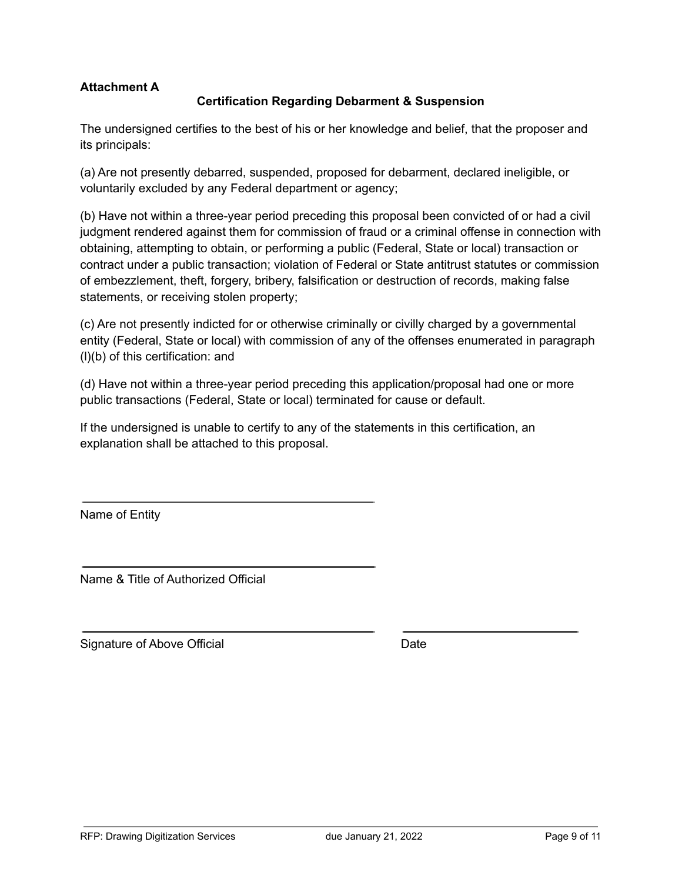# **Attachment A**

## **Certification Regarding Debarment & Suspension**

The undersigned certifies to the best of his or her knowledge and belief, that the proposer and its principals:

(a) Are not presently debarred, suspended, proposed for debarment, declared ineligible, or voluntarily excluded by any Federal department or agency;

(b) Have not within a three-year period preceding this proposal been convicted of or had a civil judgment rendered against them for commission of fraud or a criminal offense in connection with obtaining, attempting to obtain, or performing a public (Federal, State or local) transaction or contract under a public transaction; violation of Federal or State antitrust statutes or commission of embezzlement, theft, forgery, bribery, falsification or destruction of records, making false statements, or receiving stolen property;

(c) Are not presently indicted for or otherwise criminally or civilly charged by a governmental entity (Federal, State or local) with commission of any of the offenses enumerated in paragraph (l)(b) of this certification: and

(d) Have not within a three-year period preceding this application/proposal had one or more public transactions (Federal, State or local) terminated for cause or default.

If the undersigned is unable to certify to any of the statements in this certification, an explanation shall be attached to this proposal.

Name of Entity

Name & Title of Authorized Official

Signature of Above Official Date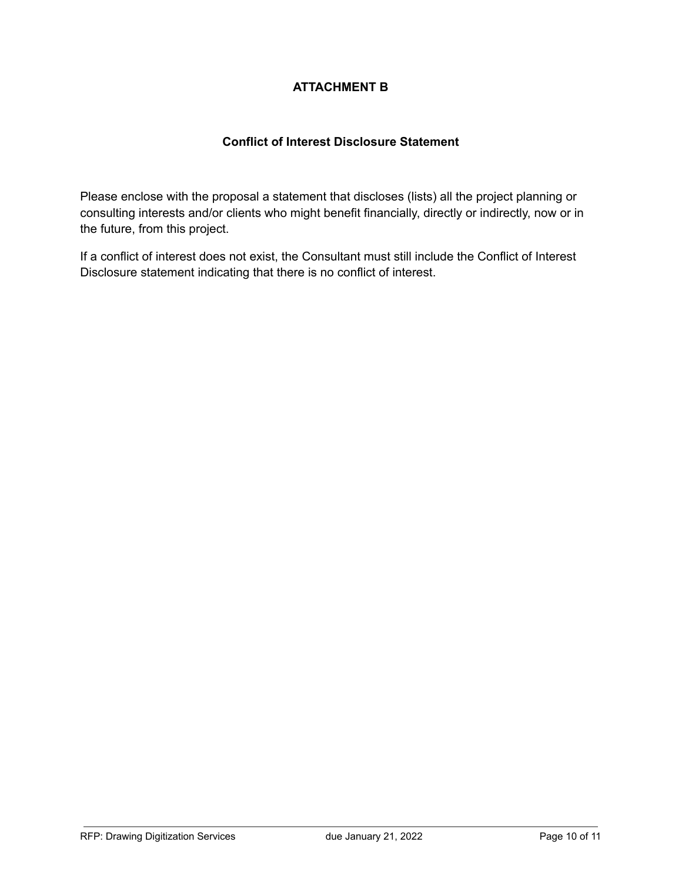# **ATTACHMENT B**

# **Conflict of Interest Disclosure Statement**

Please enclose with the proposal a statement that discloses (lists) all the project planning or consulting interests and/or clients who might benefit financially, directly or indirectly, now or in the future, from this project.

If a conflict of interest does not exist, the Consultant must still include the Conflict of Interest Disclosure statement indicating that there is no conflict of interest.